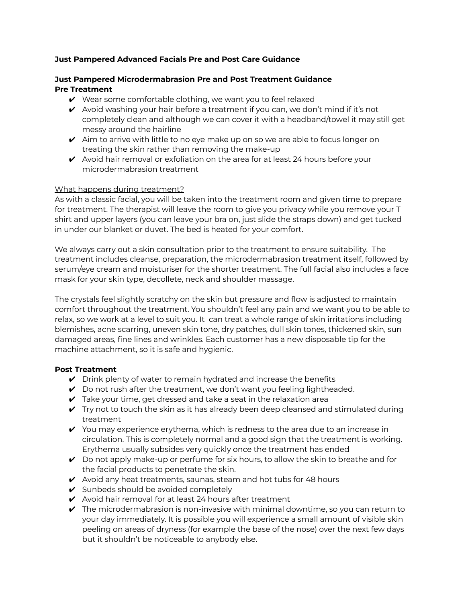## **Just Pampered Advanced Facials Pre and Post Care Guidance**

## **Just Pampered Microdermabrasion Pre and Post Treatment Guidance Pre Treatment**

- $\vee$  Wear some comfortable clothing, we want you to feel relaxed
- $\vee$  Avoid washing your hair before a treatment if you can, we don't mind if it's not completely clean and although we can cover it with a headband/towel it may still get messy around the hairline
- $\vee$  Aim to arrive with little to no eye make up on so we are able to focus longer on treating the skin rather than removing the make-up
- $\triangleright$  Avoid hair removal or exfoliation on the area for at least 24 hours before your microdermabrasion treatment

#### What happens during treatment?

As with a classic facial, you will be taken into the treatment room and given time to prepare for treatment. The therapist will leave the room to give you privacy while you remove your T shirt and upper layers (you can leave your bra on, just slide the straps down) and get tucked in under our blanket or duvet. The bed is heated for your comfort.

We always carry out a skin consultation prior to the treatment to ensure suitability. The treatment includes cleanse, preparation, the microdermabrasion treatment itself, followed by serum/eye cream and moisturiser for the shorter treatment. The full facial also includes a face mask for your skin type, decollete, neck and shoulder massage.

The crystals feel slightly scratchy on the skin but pressure and flow is adjusted to maintain comfort throughout the treatment. You shouldn't feel any pain and we want you to be able to relax, so we work at a level to suit you. It can treat a whole range of skin irritations including blemishes, acne scarring, uneven skin tone, dry patches, dull skin tones, thickened skin, sun damaged areas, fine lines and wrinkles. Each customer has a new disposable tip for the machine attachment, so it is safe and hygienic.

### **Post Treatment**

- $\vee$  Drink plenty of water to remain hydrated and increase the benefits
- $\vee$  Do not rush after the treatment, we don't want you feeling lightheaded.
- $\triangleright$  Take your time, get dressed and take a seat in the relaxation area
- $\vee$  Try not to touch the skin as it has already been deep cleansed and stimulated during treatment
- $\checkmark$  You may experience erythema, which is redness to the area due to an increase in circulation. This is completely normal and a good sign that the treatment is working. Erythema usually subsides very quickly once the treatment has ended
- $\triangleright$  Do not apply make-up or perfume for six hours, to allow the skin to breathe and for the facial products to penetrate the skin.
- $\vee$  Avoid any heat treatments, saunas, steam and hot tubs for 48 hours
- $\vee$  Sunbeds should be avoided completely
- $\vee$  Avoid hair removal for at least 24 hours after treatment
- $\triangledown$  The microdermabrasion is non-invasive with minimal downtime, so you can return to your day immediately. It is possible you will experience a small amount of visible skin peeling on areas of dryness (for example the base of the nose) over the next few days but it shouldn't be noticeable to anybody else.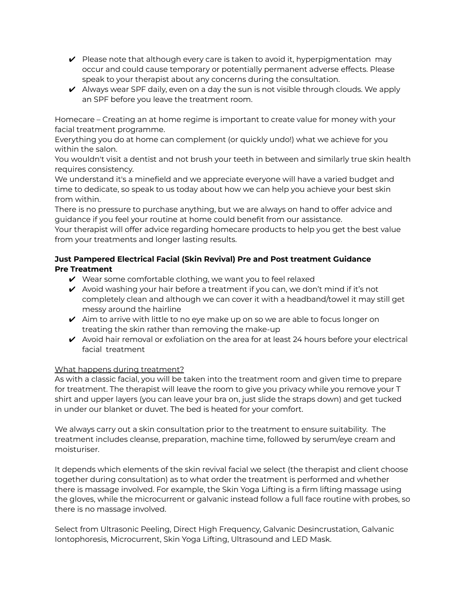- $\vee$  Please note that although every care is taken to avoid it, hyperpigmentation may occur and could cause temporary or potentially permanent adverse effects. Please speak to your therapist about any concerns during the consultation.
- $\vee$  Always wear SPF daily, even on a day the sun is not visible through clouds. We apply an SPF before you leave the treatment room.

Homecare – Creating an at home regime is important to create value for money with your facial treatment programme.

Everything you do at home can complement (or quickly undo!) what we achieve for you within the salon.

You wouldn't visit a dentist and not brush your teeth in between and similarly true skin health requires consistency.

We understand it's a minefield and we appreciate everyone will have a varied budget and time to dedicate, so speak to us today about how we can help you achieve your best skin from within.

There is no pressure to purchase anything, but we are always on hand to offer advice and guidance if you feel your routine at home could benefit from our assistance.

Your therapist will offer advice regarding homecare products to help you get the best value from your treatments and longer lasting results.

# **Just Pampered Electrical Facial (Skin Revival) Pre and Post treatment Guidance Pre Treatment**

- $\vee$  Wear some comfortable clothing, we want you to feel relaxed
- $\vee$  Avoid washing your hair before a treatment if you can, we don't mind if it's not completely clean and although we can cover it with a headband/towel it may still get messy around the hairline
- $\vee$  Aim to arrive with little to no eye make up on so we are able to focus longer on treating the skin rather than removing the make-up
- $\triangledown$  Avoid hair removal or exfoliation on the area for at least 24 hours before your electrical facial treatment

## What happens during treatment?

As with a classic facial, you will be taken into the treatment room and given time to prepare for treatment. The therapist will leave the room to give you privacy while you remove your T shirt and upper layers (you can leave your bra on, just slide the straps down) and get tucked in under our blanket or duvet. The bed is heated for your comfort.

We always carry out a skin consultation prior to the treatment to ensure suitability. The treatment includes cleanse, preparation, machine time, followed by serum/eye cream and moisturiser.

It depends which elements of the skin revival facial we select (the therapist and client choose together during consultation) as to what order the treatment is performed and whether there is massage involved. For example, the Skin Yoga Lifting is a firm lifting massage using the gloves, while the microcurrent or galvanic instead follow a full face routine with probes, so there is no massage involved.

Select from Ultrasonic Peeling, Direct High Frequency, Galvanic Desincrustation, Galvanic Iontophoresis, Microcurrent, Skin Yoga Lifting, Ultrasound and LED Mask.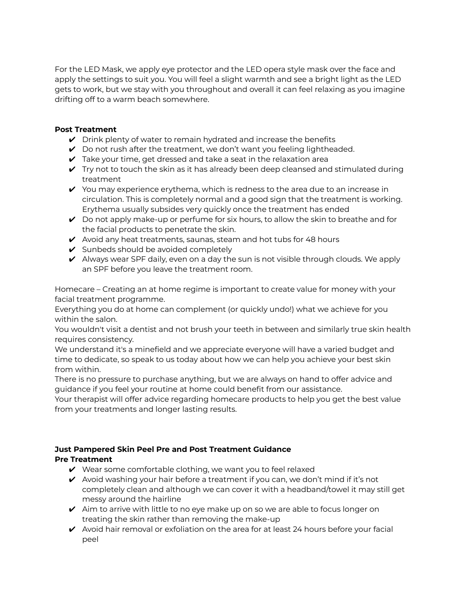For the LED Mask, we apply eye protector and the LED opera style mask over the face and apply the settings to suit you. You will feel a slight warmth and see a bright light as the LED gets to work, but we stay with you throughout and overall it can feel relaxing as you imagine drifting off to a warm beach somewhere.

## **Post Treatment**

- $\vee$  Drink plenty of water to remain hydrated and increase the benefits
- $\vee$  Do not rush after the treatment, we don't want you feeling lightheaded.
- $\checkmark$  Take your time, get dressed and take a seat in the relaxation area
- $\vee$  Try not to touch the skin as it has already been deep cleansed and stimulated during treatment
- $\checkmark$  You may experience erythema, which is redness to the area due to an increase in circulation. This is completely normal and a good sign that the treatment is working. Erythema usually subsides very quickly once the treatment has ended
- $\vee$  Do not apply make-up or perfume for six hours, to allow the skin to breathe and for the facial products to penetrate the skin.
- $\vee$  Avoid any heat treatments, saunas, steam and hot tubs for 48 hours
- $\vee$  Sunbeds should be avoided completely
- $\blacktriangleright$  Always wear SPF daily, even on a day the sun is not visible through clouds. We apply an SPF before you leave the treatment room.

Homecare – Creating an at home regime is important to create value for money with your facial treatment programme.

Everything you do at home can complement (or quickly undo!) what we achieve for you within the salon.

You wouldn't visit a dentist and not brush your teeth in between and similarly true skin health requires consistency.

We understand it's a minefield and we appreciate everyone will have a varied budget and time to dedicate, so speak to us today about how we can help you achieve your best skin from within.

There is no pressure to purchase anything, but we are always on hand to offer advice and guidance if you feel your routine at home could benefit from our assistance.

Your therapist will offer advice regarding homecare products to help you get the best value from your treatments and longer lasting results.

# **Just Pampered Skin Peel Pre and Post Treatment Guidance**

## **Pre Treatment**

- $\vee$  Wear some comfortable clothing, we want you to feel relaxed
- $\vee$  Avoid washing your hair before a treatment if you can, we don't mind if it's not completely clean and although we can cover it with a headband/towel it may still get messy around the hairline
- ✔ Aim to arrive with little to no eye make up on so we are able to focus longer on treating the skin rather than removing the make-up
- $\blacktriangleright$  Avoid hair removal or exfoliation on the area for at least 24 hours before your facial peel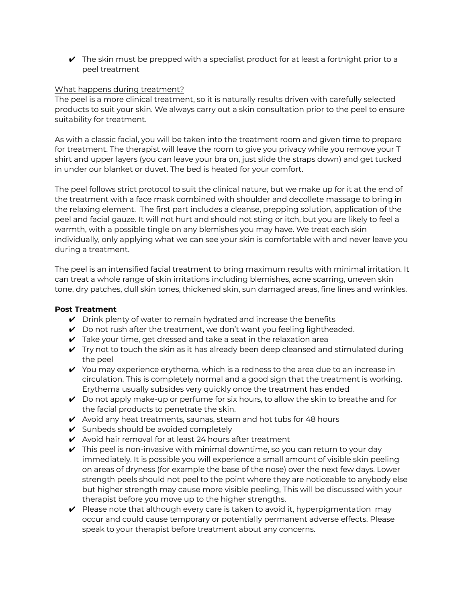$\triangledown$  The skin must be prepped with a specialist product for at least a fortnight prior to a peel treatment

### What happens during treatment?

The peel is a more clinical treatment, so it is naturally results driven with carefully selected products to suit your skin. We always carry out a skin consultation prior to the peel to ensure suitability for treatment.

As with a classic facial, you will be taken into the treatment room and given time to prepare for treatment. The therapist will leave the room to give you privacy while you remove your T shirt and upper layers (you can leave your bra on, just slide the straps down) and get tucked in under our blanket or duvet. The bed is heated for your comfort.

The peel follows strict protocol to suit the clinical nature, but we make up for it at the end of the treatment with a face mask combined with shoulder and decollete massage to bring in the relaxing element. The first part includes a cleanse, prepping solution, application of the peel and facial gauze. It will not hurt and should not sting or itch, but you are likely to feel a warmth, with a possible tingle on any blemishes you may have. We treat each skin individually, only applying what we can see your skin is comfortable with and never leave you during a treatment.

The peel is an intensified facial treatment to bring maximum results with minimal irritation. It can treat a whole range of skin irritations including blemishes, acne scarring, uneven skin tone, dry patches, dull skin tones, thickened skin, sun damaged areas, fine lines and wrinkles.

## **Post Treatment**

- $\vee$  Drink plenty of water to remain hydrated and increase the benefits
- $\vee$  Do not rush after the treatment, we don't want you feeling lightheaded.
- $\vee$  Take your time, get dressed and take a seat in the relaxation area
- $\triangledown$  Try not to touch the skin as it has already been deep cleansed and stimulated during the peel
- $\vee$  You may experience erythema, which is a redness to the area due to an increase in circulation. This is completely normal and a good sign that the treatment is working. Erythema usually subsides very quickly once the treatment has ended
- $\vee$  Do not apply make-up or perfume for six hours, to allow the skin to breathe and for the facial products to penetrate the skin.
- $\triangleright$  Avoid any heat treatments, saunas, steam and hot tubs for 48 hours
- $\checkmark$  Sunbeds should be avoided completely
- $\vee$  Avoid hair removal for at least 24 hours after treatment
- $\triangledown$  This peel is non-invasive with minimal downtime, so you can return to your day immediately. It is possible you will experience a small amount of visible skin peeling on areas of dryness (for example the base of the nose) over the next few days. Lower strength peels should not peel to the point where they are noticeable to anybody else but higher strength may cause more visible peeling, This will be discussed with your therapist before you move up to the higher strengths.
- $\vee$  Please note that although every care is taken to avoid it, hyperpigmentation may occur and could cause temporary or potentially permanent adverse effects. Please speak to your therapist before treatment about any concerns.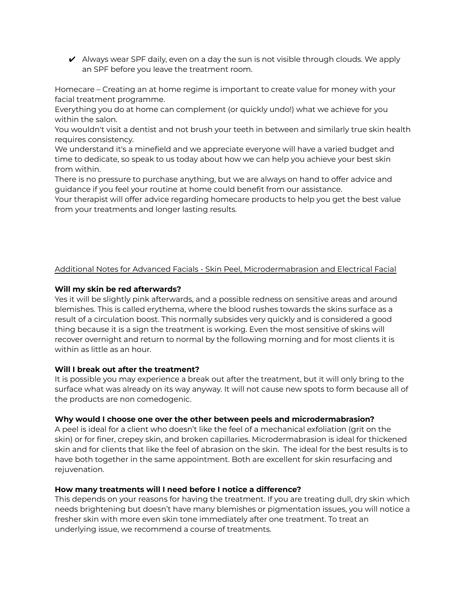$\vee$  Always wear SPF daily, even on a day the sun is not visible through clouds. We apply an SPF before you leave the treatment room.

Homecare – Creating an at home regime is important to create value for money with your facial treatment programme.

Everything you do at home can complement (or quickly undo!) what we achieve for you within the salon.

You wouldn't visit a dentist and not brush your teeth in between and similarly true skin health requires consistency.

We understand it's a minefield and we appreciate everyone will have a varied budget and time to dedicate, so speak to us today about how we can help you achieve your best skin from within.

There is no pressure to purchase anything, but we are always on hand to offer advice and guidance if you feel your routine at home could benefit from our assistance.

Your therapist will offer advice regarding homecare products to help you get the best value from your treatments and longer lasting results.

## Additional Notes for Advanced Facials - Skin Peel, Microdermabrasion and Electrical Facial

### **Will my skin be red afterwards?**

Yes it will be slightly pink afterwards, and a possible redness on sensitive areas and around blemishes. This is called erythema, where the blood rushes towards the skins surface as a result of a circulation boost. This normally subsides very quickly and is considered a good thing because it is a sign the treatment is working. Even the most sensitive of skins will recover overnight and return to normal by the following morning and for most clients it is within as little as an hour.

## **Will I break out after the treatment?**

It is possible you may experience a break out after the treatment, but it will only bring to the surface what was already on its way anyway. It will not cause new spots to form because all of the products are non comedogenic.

### **Why would I choose one over the other between peels and microdermabrasion?**

A peel is ideal for a client who doesn't like the feel of a mechanical exfoliation (grit on the skin) or for finer, crepey skin, and broken capillaries. Microdermabrasion is ideal for thickened skin and for clients that like the feel of abrasion on the skin. The ideal for the best results is to have both together in the same appointment. Both are excellent for skin resurfacing and rejuvenation.

## **How many treatments will I need before I notice a difference?**

This depends on your reasons for having the treatment. If you are treating dull, dry skin which needs brightening but doesn't have many blemishes or pigmentation issues, you will notice a fresher skin with more even skin tone immediately after one treatment. To treat an underlying issue, we recommend a course of treatments.